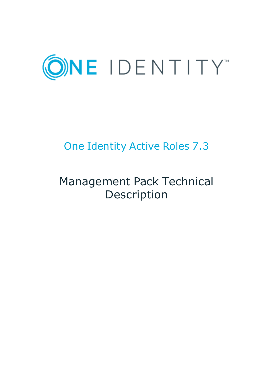

# One Identity Active Roles 7.3

# Management Pack Technical Description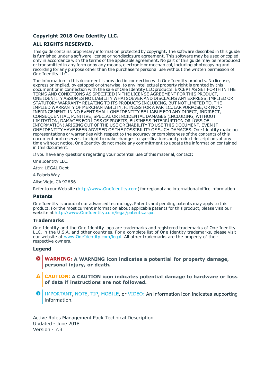#### **Copyright 2018 One Identity LLC.**

#### **ALL RIGHTS RESERVED.**

This guide contains proprietary information protected by copyright. The software described in this guide is furnished under a software license or nondisclosure agreement. This software may be used or copied only in accordance with the terms of the applicable agreement. No part of this guide may be reproduced or transmitted in any form or by any means, electronic or mechanical, including photocopying and recording for any purpose other than the purchaser's personal use without the written permission of One Identity LLC .

The information in this document is provided in connection with One Identity products. No license, express or implied, by estoppel or otherwise, to any intellectual property right is granted by this document or in connection with the sale of One Identity LLC products. EXCEPT AS SET FORTH IN THE TERMS AND CONDITIONS AS SPECIFIED IN THE LICENSE AGREEMENT FOR THIS PRODUCT, ONE IDENTITY ASSUMES NO LIABILITY WHATSOEVER AND DISCLAIMS ANY EXPRESS, IMPLIED OR STATUTORY WARRANTY RELATING TO ITS PRODUCTS INCLUDING, BUT NOT LIMITED TO, THE IMPLIED WARRANTY OF MERCHANTABILITY, FITNESS FOR A PARTICULAR PURPOSE, OR NON-INFRINGEMENT. IN NO EVENT SHALL ONE IDENTITY BE LIABLE FOR ANY DIRECT, INDIRECT, CONSEQUENTIAL, PUNITIVE, SPECIAL OR INCIDENTAL DAMAGES (INCLUDING, WITHOUT LIMITATION, DAMAGES FOR LOSS OF PROFITS, BUSINESS INTERRUPTION OR LOSS OF INFORMATION) ARISING OUT OF THE USE OR INABILITY TO USE THIS DOCUMENT, EVEN IF ONE IDENTITY HAVE BEEN ADVISED OF THE POSSIBILITY OF SUCH DAMAGES. One Identity make no representations or warranties with respect to the accuracy or completeness of the contents of this document and reserves the right to make changes to specifications and product descriptions at any time without notice. One Identity do not make any commitment to update the information contained in this document.

If you have any questions regarding your potential use of this material, contact:

One Identity LLC.

Attn: LEGAL Dept

4 Polaris Way

Aliso Viejo, CA 92656

Refer to our Web site ([http://www.OneIdentity.com](http://www.oneidentity.com/)) for regional and international office information.

#### **Patents**

One Identity is proud of our advanced technology. Patents and pending patents may apply to this product. For the most current information about applicable patents for this product, please visit our website at [http://www.OneIdentity.com/legal/patents.aspx](http://www.oneidentity.com/legal/patents.aspx).

#### **Trademarks**

One Identity and the One Identity logo are trademarks and registered trademarks of One Identity LLC. in the U.S.A. and other countries. For a complete list of One Identity trademarks, please visit our website at [www.OneIdentity.com/legal](http://www.oneidentity.com/legal). All other trademarks are the property of their respective owners.

#### **Legend**

- **WARNING: A WARNING icon indicates a potential for property damage, personal injury, or death.**
- **CAUTION: A CAUTION icon indicates potential damage to hardware or loss of data if instructions are not followed.**
- Œ IMPORTANT, NOTE, TIP, MOBILE, or VIDEO: An information icon indicates supporting information.

Active Roles Management Pack Technical Description Updated - June 2018 Version - 7.3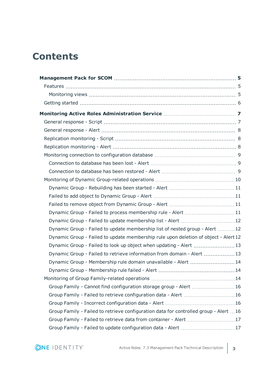## **Contents**

| Dynamic Group - Failed to process membership rule - Alert 11                         |     |
|--------------------------------------------------------------------------------------|-----|
|                                                                                      |     |
| Dynamic Group - Failed to update membership list of nested group - Alert 12          |     |
| Dynamic Group - Failed to update membership rule upon deletion of object - Alert 12  |     |
| Dynamic Group - Failed to look up object when updating - Alert 13                    |     |
| Dynamic Group - Failed to retrieve information from domain - Alert 13                |     |
| Dynamic Group - Membership rule domain unavailable - Alert 14                        |     |
|                                                                                      |     |
|                                                                                      | .14 |
| Group Family - Cannot find configuration storage group - Alert  16                   |     |
| Group Family - Failed to retrieve configuration data - Alert 16                      |     |
|                                                                                      |     |
| Group Family - Failed to retrieve configuration data for controlled group - Alert 16 |     |
| Group Family - Failed to retrieve data from container - Alert 17                     |     |
| Group Family - Failed to update configuration data - Alert 17                        |     |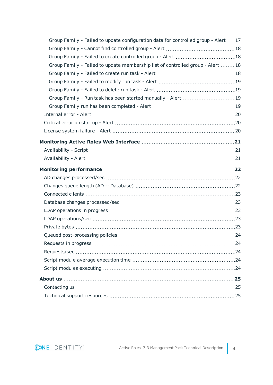| Group Family - Failed to update configuration data for controlled group - Alert 17 |  |
|------------------------------------------------------------------------------------|--|
|                                                                                    |  |
|                                                                                    |  |
| Group Family - Failed to update membership list of controlled group - Alert  18    |  |
|                                                                                    |  |
|                                                                                    |  |
|                                                                                    |  |
| Group Family - Run task has been started manually - Alert  19                      |  |
|                                                                                    |  |
|                                                                                    |  |
|                                                                                    |  |
|                                                                                    |  |
|                                                                                    |  |
|                                                                                    |  |
|                                                                                    |  |
|                                                                                    |  |
|                                                                                    |  |
|                                                                                    |  |
|                                                                                    |  |
|                                                                                    |  |
|                                                                                    |  |
|                                                                                    |  |
|                                                                                    |  |
|                                                                                    |  |
|                                                                                    |  |
|                                                                                    |  |
|                                                                                    |  |
|                                                                                    |  |
|                                                                                    |  |
|                                                                                    |  |
|                                                                                    |  |

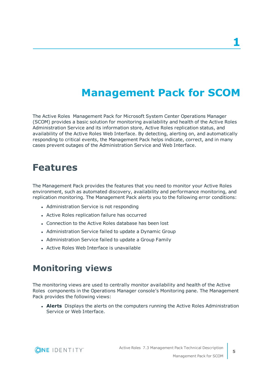## **Management Pack for SCOM**

<span id="page-4-0"></span>The Active Roles Management Pack for Microsoft System Center Operations Manager (SCOM) provides a basic solution for monitoring availability and health of the Active Roles Administration Service and its information store, Active Roles replication status, and availability of the Active Roles Web Interface. By detecting, alerting on, and automatically responding to critical events, the Management Pack helps indicate, correct, and in many cases prevent outages of the Administration Service and Web Interface.

### <span id="page-4-1"></span>**Features**

The Management Pack provides the features that you need to monitor your Active Roles environment, such as automated discovery, availability and performance monitoring, and replication monitoring. The Management Pack alerts you to the following error conditions:

- Administration Service is not responding
- Active Roles replication failure has occurred
- Connection to the Active Roles database has been lost
- Administration Service failed to update a Dynamic Group
- Administration Service failed to update a Group Family
- Active Roles Web Interface is unavailable

#### <span id="page-4-2"></span>**Monitoring views**

The monitoring views are used to centrally monitor availability and health of the Active Roles components in the Operations Manager console's Monitoring pane. The Management Pack provides the following views:

**Alerts** Displays the alerts on the computers running the Active Roles Administration Service or Web Interface.

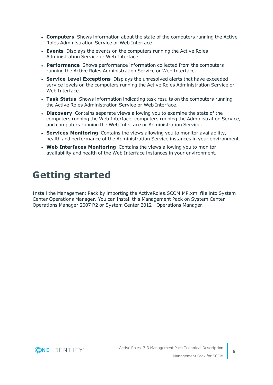- **Computers** Shows information about the state of the computers running the Active Roles Administration Service or Web Interface.
- **Events** Displays the events on the computers running the Active Roles Administration Service or Web Interface.
- **Performance** Shows performance information collected from the computers running the Active Roles Administration Service or Web Interface.
- <sup>l</sup> **Service Level Exceptions** Displays the unresolved alerts that have exceeded service levels on the computers running the Active Roles Administration Service or Web Interface.
- <sup>l</sup> **Task Status** Shows information indicating task results on the computers running the Active Roles Administration Service or Web Interface.
- **. Discovery** Contains separate views allowing you to examine the state of the computers running the Web Interface, computers running the Administration Service, and computers running the Web Interface or Administration Service.
- **Services Monitoring** Contains the views allowing you to monitor availability, health and performance of the Administration Service instances in your environment.
- **. Web Interfaces Monitoring** Contains the views allowing you to monitor availability and health of the Web Interface instances in your environment.

## <span id="page-5-0"></span>**Getting started**

Install the Management Pack by importing the ActiveRoles.SCOM.MP.xml file into System Center Operations Manager. You can install this Management Pack on System Center Operations Manager 2007 R2 or System Center 2012 - Operations Manager.

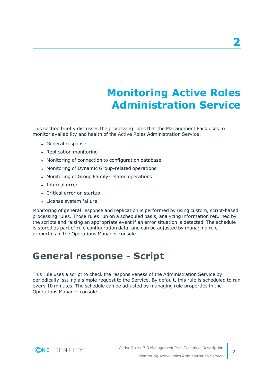# **Monitoring Active Roles Administration Service**

<span id="page-6-0"></span>This section briefly discusses the processing rules that the Management Pack uses to monitor availability and health of the Active Roles Administration Service:

- General response
- Replication monitoring
- Monitoring of connection to configuration database
- Monitoring of Dynamic Group-related operations
- Monitoring of Group Family-related operations
- Internal error
- Critical error on startup
- License system failure

Monitoring of general response and replication is performed by using custom, script-based processing rules. Those rules run on a scheduled basis, analyzing information returned by the scripts and raising an appropriate event if an error situation is detected. The schedule is stored as part of rule configuration data, and can be adjusted by managing rule properties in the Operations Manager console.

### <span id="page-6-1"></span>**General response - Script**

This rule uses a script to check the responsiveness of the Administration Service by periodically issuing a simple request to the Service. By default, this rule is scheduled to run every 10 minutes. The schedule can be adjusted by managing rule properties in the Operations Manager console.

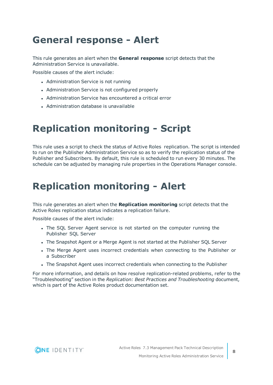## <span id="page-7-0"></span>**General response - Alert**

This rule generates an alert when the **General response** script detects that the Administration Service is unavailable.

Possible causes of the alert include:

- Administration Service is not running
- Administration Service is not configured properly
- Administration Service has encountered a critical error
- Administration database is unavailable

## <span id="page-7-1"></span>**Replication monitoring - Script**

This rule uses a script to check the status of Active Roles replication. The script is intended to run on the Publisher Administration Service so as to verify the replication status of the Publisher and Subscribers. By default, this rule is scheduled to run every 30 minutes. The schedule can be adjusted by managing rule properties in the Operations Manager console.

## <span id="page-7-2"></span>**Replication monitoring - Alert**

This rule generates an alert when the **Replication monitoring** script detects that the Active Roles replication status indicates a replication failure.

Possible causes of the alert include:

- The SOL Server Agent service is not started on the computer running the Publisher SQL Server
- The Snapshot Agent or a Merge Agent is not started at the Publisher SQL Server
- The Merge Agent uses incorrect credentials when connecting to the Publisher or a Subscriber
- The Snapshot Agent uses incorrect credentials when connecting to the Publisher

For more information, and details on how resolve replication-related problems, refer to the "Troubleshooting" section in the *Replication: Best Practices and Troubleshooting* document, which is part of the Active Roles product documentation set.

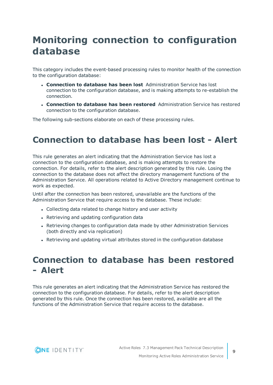## <span id="page-8-0"></span>**Monitoring connection to configuration database**

This category includes the event-based processing rules to monitor health of the connection to the configuration database:

- <sup>l</sup> **Connection to database has been lost** Administration Service has lost connection to the configuration database, and is making attempts to re-establish the connection.
- <sup>l</sup> **Connection to database has been restored** Administration Service has restored connection to the configuration database.

<span id="page-8-1"></span>The following sub-sections elaborate on each of these processing rules.

#### **Connection to database has been lost - Alert**

This rule generates an alert indicating that the Administration Service has lost a connection to the configuration database, and is making attempts to restore the connection. For details, refer to the alert description generated by this rule. Losing the connection to the database does not affect the directory management functions of the Administration Service. All operations related to Active Directory management continue to work as expected.

Until after the connection has been restored, unavailable are the functions of the Administration Service that require access to the database. These include:

- Collecting data related to change history and user activity
- Retrieving and updating configuration data
- Retrieving changes to configuration data made by other Administration Services (both directly and via replication)
- Retrieving and updating virtual attributes stored in the configuration database

#### <span id="page-8-2"></span>**Connection to database has been restored - Alert**

This rule generates an alert indicating that the Administration Service has restored the connection to the configuration database. For details, refer to the alert description generated by this rule. Once the connection has been restored, available are all the functions of the Administration Service that require access to the database.

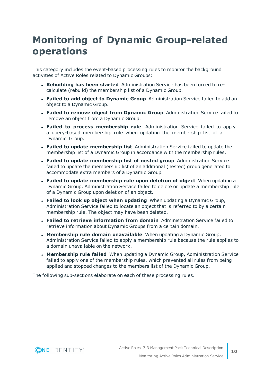## <span id="page-9-0"></span>**Monitoring of Dynamic Group-related operations**

This category includes the event-based processing rules to monitor the background activities of Active Roles related to Dynamic Groups:

- <sup>l</sup> **Rebuilding has been started** Administration Service has been forced to recalculate (rebuild) the membership list of a Dynamic Group.
- <sup>l</sup> **Failed to add object to Dynamic Group** Administration Service failed to add an object to a Dynamic Group.
- <sup>l</sup> **Failed to remove object from Dynamic Group** Administration Service failed to remove an object from a Dynamic Group.
- <sup>l</sup> **Failed to process membership rule** Administration Service failed to apply a query-based membership rule when updating the membership list of a Dynamic Group.
- <sup>l</sup> **Failed to update membership list** Administration Service failed to update the membership list of a Dynamic Group in accordance with the membership rules.
- <sup>l</sup> **Failed to update membership list of nested group** Administration Service failed to update the membership list of an additional (nested) group generated to accommodate extra members of a Dynamic Group.
- <sup>l</sup> **Failed to update membership rule upon deletion of object** When updating a Dynamic Group, Administration Service failed to delete or update a membership rule of a Dynamic Group upon deletion of an object.
- <sup>l</sup> **Failed to look up object when updating** When updating a Dynamic Group, Administration Service failed to locate an object that is referred to by a certain membership rule. The object may have been deleted.
- <sup>l</sup> **Failed to retrieve information from domain** Administration Service failed to retrieve information about Dynamic Groups from a certain domain.
- <sup>l</sup> **Membership rule domain unavailable** When updating a Dynamic Group, Administration Service failed to apply a membership rule because the rule applies to a domain unavailable on the network.
- <sup>l</sup> **Membership rule failed** When updating a Dynamic Group, Administration Service failed to apply one of the membership rules, which prevented all rules from being applied and stopped changes to the members list of the Dynamic Group.

The following sub-sections elaborate on each of these processing rules.

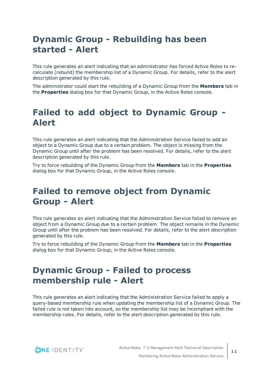#### <span id="page-10-0"></span>**Dynamic Group - Rebuilding has been started - Alert**

This rule generates an alert indicating that an administrator has forced Active Roles to recalculate (rebuild) the membership list of a Dynamic Group. For details, refer to the alert description generated by this rule.

The administrator could start the rebuilding of a Dynamic Group from the **Members** tab in the **Properties** dialog box for that Dynamic Group, in the Active Roles console.

#### <span id="page-10-1"></span>**Failed to add object to Dynamic Group - Alert**

This rule generates an alert indicating that the Administration Service failed to add an object to a Dynamic Group due to a certain problem. The object is missing from the Dynamic Group until after the problem has been resolved. For details, refer to the alert description generated by this rule.

Try to force rebuilding of the Dynamic Group from the **Members** tab in the **Properties** dialog box for that Dynamic Group, in the Active Roles console.

#### <span id="page-10-2"></span>**Failed to remove object from Dynamic Group - Alert**

This rule generates an alert indicating that the Administration Service failed to remove an object from a Dynamic Group due to a certain problem. The object remains in the Dynamic Group until after the problem has been resolved. For details, refer to the alert description generated by this rule.

Try to force rebuilding of the Dynamic Group from the **Members** tab in the **Properties** dialog box for that Dynamic Group, in the Active Roles console.

#### <span id="page-10-3"></span>**Dynamic Group - Failed to process membership rule - Alert**

This rule generates an alert indicating that the Administration Service failed to apply a query-based membership rule when updating the membership list of a Dynamic Group. The failed rule is not taken into account, so the membership list may be incompliant with the membership rules. For details, refer to the alert description generated by this rule.

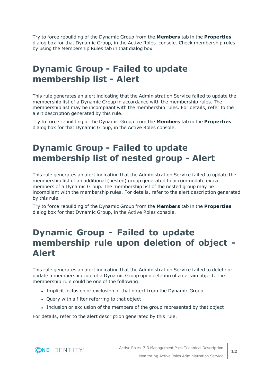Try to force rebuilding of the Dynamic Group from the **Members** tab in the **Properties** dialog box for that Dynamic Group, in the Active Roles console. Check membership rules by using the Membership Rules tab in that dialog box.

#### <span id="page-11-0"></span>**Dynamic Group - Failed to update membership list - Alert**

This rule generates an alert indicating that the Administration Service failed to update the membership list of a Dynamic Group in accordance with the membership rules. The membership list may be incompliant with the membership rules. For details, refer to the alert description generated by this rule.

Try to force rebuilding of the Dynamic Group from the **Members** tab in the **Properties** dialog box for that Dynamic Group, in the Active Roles console.

#### <span id="page-11-1"></span>**Dynamic Group - Failed to update membership list of nested group - Alert**

This rule generates an alert indicating that the Administration Service failed to update the membership list of an additional (nested) group generated to accommodate extra members of a Dynamic Group. The membership list of the nested group may be incompliant with the membership rules. For details, refer to the alert description generated by this rule.

Try to force rebuilding of the Dynamic Group from the **Members** tab in the **Properties** dialog box for that Dynamic Group, in the Active Roles console.

#### <span id="page-11-2"></span>**Dynamic Group - Failed to update membership rule upon deletion of object - Alert**

This rule generates an alert indicating that the Administration Service failed to delete or update a membership rule of a Dynamic Group upon deletion of a certain object. The membership rule could be one of the following:

- Implicit inclusion or exclusion of that object from the Dynamic Group
- Ouery with a filter referring to that object
- Inclusion or exclusion of the members of the group represented by that object

For details, refer to the alert description generated by this rule.

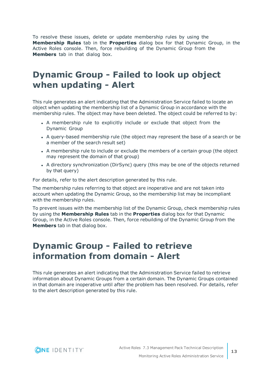To resolve these issues, delete or update membership rules by using the **Membership Rules** tab in the **Properties** dialog box for that Dynamic Group, in the Active Roles console. Then, force rebuilding of the Dynamic Group from the **Members** tab in that dialog box.

#### <span id="page-12-0"></span>**Dynamic Group - Failed to look up object when updating - Alert**

This rule generates an alert indicating that the Administration Service failed to locate an object when updating the membership list of a Dynamic Group in accordance with the membership rules. The object may have been deleted. The object could be referred to by:

- A membership rule to explicitly include or exclude that object from the Dynamic Group
- A query-based membership rule (the object may represent the base of a search or be a member of the search result set)
- A membership rule to include or exclude the members of a certain group (the object may represent the domain of that group)
- A directory synchronization (DirSync) query (this may be one of the objects returned by that query)

For details, refer to the alert description generated by this rule.

The membership rules referring to that object are inoperative and are not taken into account when updating the Dynamic Group, so the membership list may be incompliant with the membership rules.

To prevent issues with the membership list of the Dynamic Group, check membership rules by using the **Membership Rules** tab in the **Properties** dialog box for that Dynamic Group, in the Active Roles console. Then, force rebuilding of the Dynamic Group from the **Members** tab in that dialog box.

#### <span id="page-12-1"></span>**Dynamic Group - Failed to retrieve information from domain - Alert**

This rule generates an alert indicating that the Administration Service failed to retrieve information about Dynamic Groups from a certain domain. The Dynamic Groups contained in that domain are inoperative until after the problem has been resolved. For details, refer to the alert description generated by this rule.

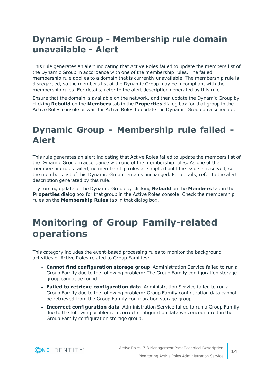#### <span id="page-13-0"></span>**Dynamic Group - Membership rule domain unavailable - Alert**

This rule generates an alert indicating that Active Roles failed to update the members list of the Dynamic Group in accordance with one of the membership rules. The failed membership rule applies to a domain that is currently unavailable. The membership rule is disregarded, so the members list of the Dynamic Group may be incompliant with the membership rules. For details, refer to the alert description generated by this rule.

Ensure that the domain is available on the network, and then update the Dynamic Group by clicking **Rebuild** on the **Members** tab in the **Properties** dialog box for that group in the Active Roles console or wait for Active Roles to update the Dynamic Group on a schedule.

#### <span id="page-13-1"></span>**Dynamic Group - Membership rule failed - Alert**

This rule generates an alert indicating that Active Roles failed to update the members list of the Dynamic Group in accordance with one of the membership rules. As one of the membership rules failed, no membership rules are applied until the issue is resolved, so the members list of this Dynamic Group remains unchanged. For details, refer to the alert description generated by this rule.

Try forcing update of the Dynamic Group by clicking **Rebuild** on the **Members** tab in the **Properties** dialog box for that group in the Active Roles console. Check the membership rules on the **Membership Rules** tab in that dialog box.

## <span id="page-13-2"></span>**Monitoring of Group Family-related operations**

This category includes the event-based processing rules to monitor the background activities of Active Roles related to Group Families:

- <sup>l</sup> **Cannot find configuration storage group** Administration Service failed to run a Group Family due to the following problem: The Group Family configuration storage group cannot be found.
- <sup>l</sup> **Failed to retrieve configuration data** Administration Service failed to run a Group Family due to the following problem: Group Family configuration data cannot be retrieved from the Group Family configuration storage group.
- <sup>l</sup> **Incorrect configuration data** Administration Service failed to run a Group Family due to the following problem: Incorrect configuration data was encountered in the Group Family configuration storage group.

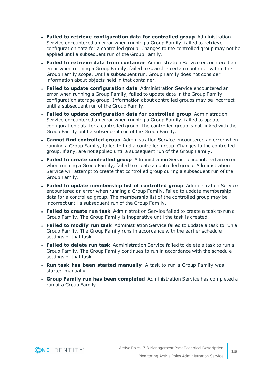- <sup>l</sup> **Failed to retrieve configuration data for controlled group** Administration Service encountered an error when running a Group Family, failed to retrieve configuration data for a controlled group. Changes to the controlled group may not be applied until a subsequent run of the Group Family.
- <sup>l</sup> **Failed to retrieve data from container** Administration Service encountered an error when running a Group Family, failed to search a certain container within the Group Family scope. Until a subsequent run, Group Family does not consider information about objects held in that container.
- <sup>l</sup> **Failed to update configuration data** Administration Service encountered an error when running a Group Family, failed to update data in the Group Family configuration storage group. Information about controlled groups may be incorrect until a subsequent run of the Group Family.
- <sup>l</sup> **Failed to update configuration data for controlled group** Administration Service encountered an error when running a Group Family, failed to update configuration data for a controlled group. The controlled group is not linked with the Group Family until a subsequent run of the Group Family.
- <sup>l</sup> **Cannot find controlled group** Administration Service encountered an error when running a Group Family, failed to find a controlled group. Changes to the controlled group, if any, are not applied until a subsequent run of the Group Family.
- <sup>l</sup> **Failed to create controlled group** Administration Service encountered an error when running a Group Family, failed to create a controlled group. Administration Service will attempt to create that controlled group during a subsequent run of the Group Family.
- <sup>l</sup> **Failed to update membership list of controlled group** Administration Service encountered an error when running a Group Family, failed to update membership data for a controlled group. The membership list of the controlled group may be incorrect until a subsequent run of the Group Family.
- <sup>l</sup> **Failed to create run task** Administration Service failed to create a task to run a Group Family. The Group Family is inoperative until the task is created.
- <sup>l</sup> **Failed to modify run task** Administration Service failed to update a task to run a Group Family. The Group Family runs in accordance with the earlier schedule settings of that task.
- <sup>l</sup> **Failed to delete run task** Administration Service failed to delete a task to run a Group Family. The Group Family continues to run in accordance with the schedule settings of that task.
- <sup>l</sup> **Run task has been started manually** A task to run a Group Family was started manually.
- <sup>l</sup> **Group Family run has been completed** Administration Service has completed a run of a Group Family.

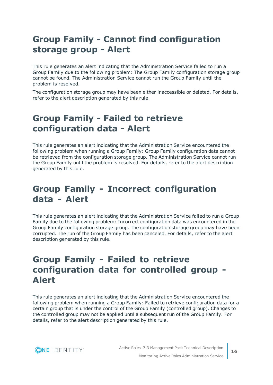#### <span id="page-15-0"></span>**Group Family - Cannot find configuration storage group - Alert**

This rule generates an alert indicating that the Administration Service failed to run a Group Family due to the following problem: The Group Family configuration storage group cannot be found. The Administration Service cannot run the Group Family until the problem is resolved.

The configuration storage group may have been either inaccessible or deleted. For details, refer to the alert description generated by this rule.

#### <span id="page-15-1"></span>**Group Family - Failed to retrieve configuration data - Alert**

This rule generates an alert indicating that the Administration Service encountered the following problem when running a Group Family: Group Family configuration data cannot be retrieved from the configuration storage group. The Administration Service cannot run the Group Family until the problem is resolved. For details, refer to the alert description generated by this rule.

#### <span id="page-15-2"></span>**Group Family - Incorrect configuration data - Alert**

This rule generates an alert indicating that the Administration Service failed to run a Group Family due to the following problem: Incorrect configuration data was encountered in the Group Family configuration storage group. The configuration storage group may have been corrupted. The run of the Group Family has been canceled. For details, refer to the alert description generated by this rule.

#### <span id="page-15-3"></span>**Group Family - Failed to retrieve configuration data for controlled group - Alert**

This rule generates an alert indicating that the Administration Service encountered the following problem when running a Group Family: Failed to retrieve configuration data for a certain group that is under the control of the Group Family (controlled group). Changes to the controlled group may not be applied until a subsequent run of the Group Family. For details, refer to the alert description generated by this rule.



Active Roles 7.3 Management Pack Technical Description Monitoring Active Roles Administration Service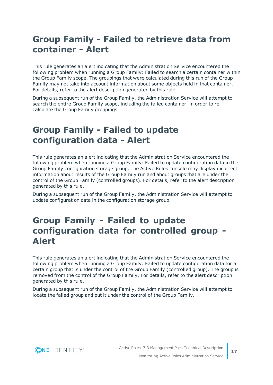#### <span id="page-16-0"></span>**Group Family - Failed to retrieve data from container - Alert**

This rule generates an alert indicating that the Administration Service encountered the following problem when running a Group Family: Failed to search a certain container within the Group Family scope. The groupings that were calculated during this run of the Group Family may not take into account information about some objects held in that container. For details, refer to the alert description generated by this rule.

During a subsequent run of the Group Family, the Administration Service will attempt to search the entire Group Family scope, including the failed container, in order to recalculate the Group Family groupings.

#### <span id="page-16-1"></span>**Group Family - Failed to update configuration data - Alert**

This rule generates an alert indicating that the Administration Service encountered the following problem when running a Group Family: Failed to update configuration data in the Group Family configuration storage group. The Active Roles console may display incorrect information about results of the Group Family run and about groups that are under the control of the Group Family (controlled groups). For details, refer to the alert description generated by this rule.

During a subsequent run of the Group Family, the Administration Service will attempt to update configuration data in the configuration storage group.

#### <span id="page-16-2"></span>**Group Family - Failed to update configuration data for controlled group - Alert**

This rule generates an alert indicating that the Administration Service encountered the following problem when running a Group Family: Failed to update configuration data for a certain group that is under the control of the Group Family (controlled group). The group is removed from the control of the Group Family. For details, refer to the alert description generated by this rule.

During a subsequent run of the Group Family, the Administration Service will attempt to locate the failed group and put it under the control of the Group Family.

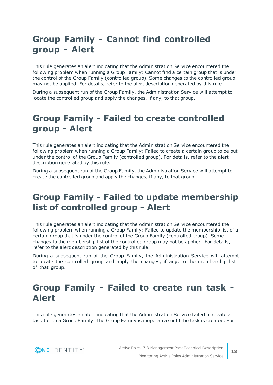#### <span id="page-17-0"></span>**Group Family - Cannot find controlled group - Alert**

This rule generates an alert indicating that the Administration Service encountered the following problem when running a Group Family: Cannot find a certain group that is under the control of the Group Family (controlled group). Some changes to the controlled group may not be applied. For details, refer to the alert description generated by this rule.

During a subsequent run of the Group Family, the Administration Service will attempt to locate the controlled group and apply the changes, if any, to that group.

#### <span id="page-17-1"></span>**Group Family - Failed to create controlled group - Alert**

This rule generates an alert indicating that the Administration Service encountered the following problem when running a Group Family: Failed to create a certain group to be put under the control of the Group Family (controlled group). For details, refer to the alert description generated by this rule.

During a subsequent run of the Group Family, the Administration Service will attempt to create the controlled group and apply the changes, if any, to that group.

#### <span id="page-17-2"></span>**Group Family - Failed to update membership list of controlled group - Alert**

This rule generates an alert indicating that the Administration Service encountered the following problem when running a Group Family: Failed to update the membership list of a certain group that is under the control of the Group Family (controlled group). Some changes to the membership list of the controlled group may not be applied. For details, refer to the alert description generated by this rule.

During a subsequent run of the Group Family, the Administration Service will attempt to locate the controlled group and apply the changes, if any, to the membership list of that group.

#### <span id="page-17-3"></span>**Group Family - Failed to create run task - Alert**

This rule generates an alert indicating that the Administration Service failed to create a task to run a Group Family. The Group Family is inoperative until the task is created. For

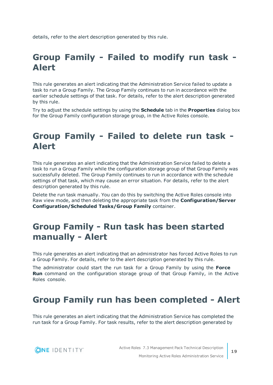<span id="page-18-0"></span>details, refer to the alert description generated by this rule.

## **Group Family - Failed to modify run task - Alert**

This rule generates an alert indicating that the Administration Service failed to update a task to run a Group Family. The Group Family continues to run in accordance with the earlier schedule settings of that task. For details, refer to the alert description generated by this rule.

Try to adjust the schedule settings by using the **Schedule** tab in the **Properties** dialog box for the Group Family configuration storage group, in the Active Roles console.

#### <span id="page-18-1"></span>**Group Family - Failed to delete run task - Alert**

This rule generates an alert indicating that the Administration Service failed to delete a task to run a Group Family while the configuration storage group of that Group Family was successfully deleted. The Group Family continues to run in accordance with the schedule settings of that task, which may cause an error situation. For details, refer to the alert description generated by this rule.

Delete the run task manually. You can do this by switching the Active Roles console into Raw view mode, and then deleting the appropriate task from the **Configuration/Server Configuration/Scheduled Tasks/Group Family** container.

#### <span id="page-18-2"></span>**Group Family - Run task has been started manually - Alert**

This rule generates an alert indicating that an administrator has forced Active Roles to run a Group Family. For details, refer to the alert description generated by this rule.

The administrator could start the run task for a Group Family by using the **Force Run** command on the configuration storage group of that Group Family, in the Active Roles console.

#### <span id="page-18-3"></span>**Group Family run has been completed - Alert**

This rule generates an alert indicating that the Administration Service has completed the run task for a Group Family. For task results, refer to the alert description generated by

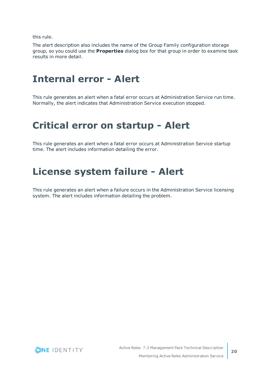this rule.

The alert description also includes the name of the Group Family configuration storage group, so you could use the **Properties** dialog box for that group in order to examine task results in more detail.

### <span id="page-19-0"></span>**Internal error - Alert**

This rule generates an alert when a fatal error occurs at Administration Service run time. Normally, the alert indicates that Administration Service execution stopped.

#### <span id="page-19-1"></span>**Critical error on startup - Alert**

This rule generates an alert when a fatal error occurs at Administration Service startup time. The alert includes information detailing the error.

#### <span id="page-19-2"></span>**License system failure - Alert**

This rule generates an alert when a failure occurs in the Administration Service licensing system. The alert includes information detailing the problem.

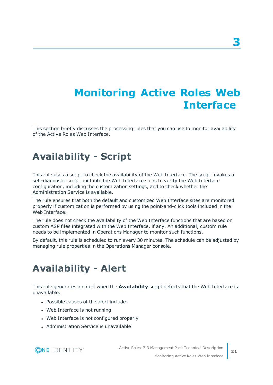# <span id="page-20-0"></span>**Monitoring Active Roles Web Interface**

This section briefly discusses the processing rules that you can use to monitor availability of the Active Roles Web Interface.

## <span id="page-20-1"></span>**Availability - Script**

This rule uses a script to check the availability of the Web Interface. The script invokes a self-diagnostic script built into the Web Interface so as to verify the Web Interface configuration, including the customization settings, and to check whether the Administration Service is available.

The rule ensures that both the default and customized Web Interface sites are monitored properly if customization is performed by using the point-and-click tools included in the Web Interface.

The rule does not check the availability of the Web Interface functions that are based on custom ASP files integrated with the Web Interface, if any. An additional, custom rule needs to be implemented in Operations Manager to monitor such functions.

By default, this rule is scheduled to run every 30 minutes. The schedule can be adjusted by managing rule properties in the Operations Manager console.

## <span id="page-20-2"></span>**Availability - Alert**

This rule generates an alert when the **Availability** script detects that the Web Interface is unavailable.

- Possible causes of the alert include:
- Web Interface is not running
- Web Interface is not configured properly
- **Administration Service is unavailable**

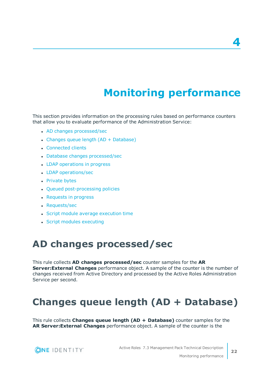# **Monitoring performance**

<span id="page-21-0"></span>This section provides information on the processing rules based on performance counters that allow you to evaluate performance of the Administration Service:

- AD changes [processed/sec](#page-21-1)
- $\bullet$  Changes queue length (AD + [Database\)](#page-21-2)
- [Connected](#page-22-0) clients
- Database changes [processed/sec](#page-22-1)
- LDAP [operations](#page-22-2) in progress
- LDAP [operations/sec](#page-22-3)
- [Private](#page-22-4) bytes
- Queued [post-processing](#page-23-0) policies
- [Requests](#page-23-1) in progress
- [Requests/sec](#page-23-2)
- Script module average [execution](#page-23-3) time
- <span id="page-21-1"></span>• Script modules [executing](#page-23-4)

### **AD changes processed/sec**

This rule collects **AD changes processed/sec** counter samples for the **AR Server:External Changes** performance object. A sample of the counter is the number of changes received from Active Directory and processed by the Active Roles Administration Service per second.

### <span id="page-21-2"></span>**Changes queue length (AD + Database)**

This rule collects **Changes queue length (AD + Database)** counter samples for the **AR Server:External Changes** performance object. A sample of the counter is the



**4**

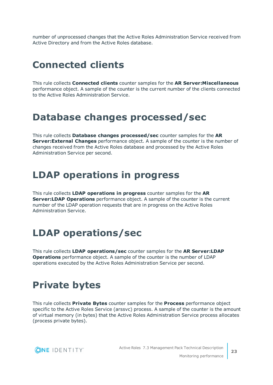number of unprocessed changes that the Active Roles Administration Service received from Active Directory and from the Active Roles database.

## <span id="page-22-0"></span>**Connected clients**

This rule collects **Connected clients** counter samples for the **AR Server:Miscellaneous** performance object. A sample of the counter is the current number of the clients connected to the Active Roles Administration Service.

#### <span id="page-22-1"></span>**Database changes processed/sec**

This rule collects **Database changes processed/sec** counter samples for the **AR Server:External Changes** performance object. A sample of the counter is the number of changes received from the Active Roles database and processed by the Active Roles Administration Service per second.

## <span id="page-22-2"></span>**LDAP operations in progress**

This rule collects **LDAP operations in progress** counter samples for the **AR Server:LDAP Operations** performance object. A sample of the counter is the current number of the LDAP operation requests that are in progress on the Active Roles Administration Service.

## <span id="page-22-3"></span>**LDAP operations/sec**

This rule collects **LDAP operations/sec** counter samples for the **AR Server:LDAP Operations** performance object. A sample of the counter is the number of LDAP operations executed by the Active Roles Administration Service per second.

### <span id="page-22-4"></span>**Private bytes**

This rule collects **Private Bytes** counter samples for the **Process** performance object specific to the Active Roles Service (arssvc) process. A sample of the counter is the amount of virtual memory (in bytes) that the Active Roles Administration Service process allocates (process private bytes).

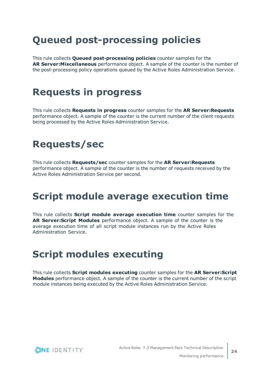## <span id="page-23-0"></span>**Queued post-processing policies**

This rule collects **Queued post-processing policies** counter samples for the **AR Server:Miscellaneous** performance object. A sample of the counter is the number of the post-processing policy operations queued by the Active Roles Administration Service.

## <span id="page-23-1"></span>**Requests in progress**

This rule collects **Requests in progress** counter samples for the **AR Server:Requests** performance object. A sample of the counter is the current number of the client requests being processed by the Active Roles Administration Service.

## <span id="page-23-2"></span>**Requests/sec**

This rule collects **Requests/sec** counter samples for the **AR Server:Requests** performance object. A sample of the counter is the number of requests received by the Active Roles Administration Service per second.

## <span id="page-23-3"></span>**Script module average execution time**

This rule collects **Script module average execution time** counter samples for the **AR Server:Script Modules** performance object. A sample of the counter is the average execution time of all script module instances run by the Active Roles Administration Service.

## <span id="page-23-4"></span>**Script modules executing**

This rule collects **Script modules executing** counter samples for the **AR Server:Script Modules** performance object. A sample of the counter is the current number of the script module instances being executed by the Active Roles Administration Service.